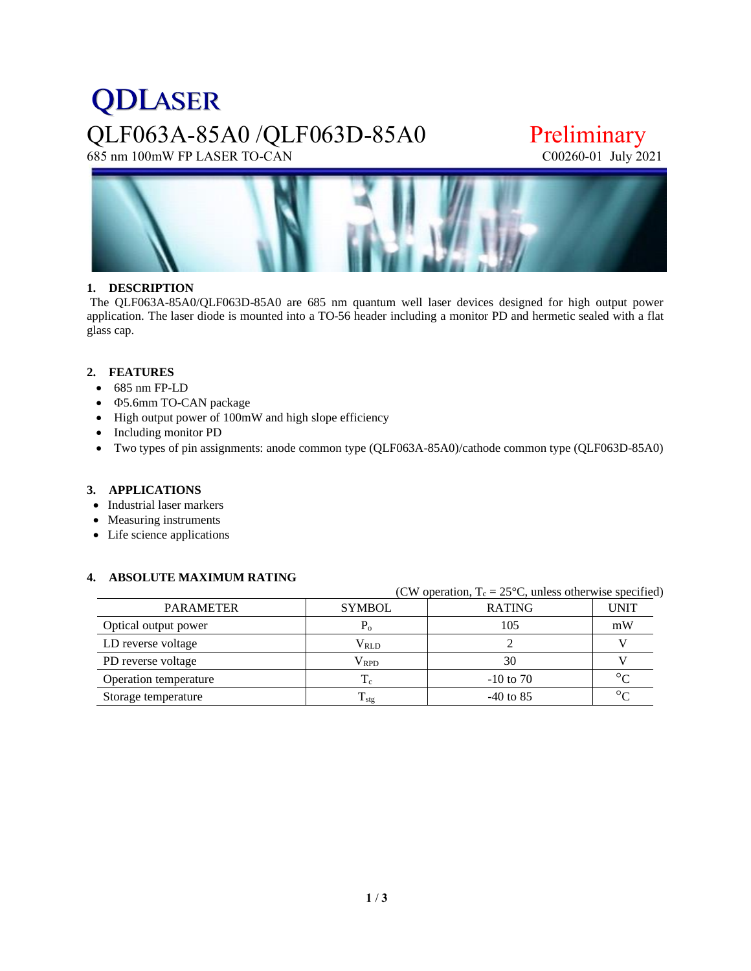# **QDLASER** QLF063A-85A0 /QLF063D-85A0 Preliminary<br>
685 nm 100mW FP LASER TO-CAN CO0260-01 July 2021

685 nm 100mW FP LASER TO-CAN



### **1. DESCRIPTION**

The QLF063A-85A0/QLF063D-85A0 are 685 nm quantum well laser devices designed for high output power application. The laser diode is mounted into a TO-56 header including a monitor PD and hermetic sealed with a flat glass cap.

### **2. FEATURES**

- 685 nm FP-LD
- 5.6mm TO-CAN package
- High output power of 100mW and high slope efficiency
- Including monitor PD
- Two types of pin assignments: anode common type (QLF063A-85A0)/cathode common type (QLF063D-85A0)

### **3. APPLICATIONS**

- Industrial laser markers
- Measuring instruments
- Life science applications

### **4. ABSOLUTE MAXIMUM RATING**

| $C_{\rm v}$ operation, $T_c = Z_0 C$ , unless otherwise specified |               |               |             |  |  |  |
|-------------------------------------------------------------------|---------------|---------------|-------------|--|--|--|
| <b>PARAMETER</b>                                                  | <b>SYMBOL</b> | <b>RATING</b> | <b>UNIT</b> |  |  |  |
| Optical output power                                              | r.            | 105           | mW          |  |  |  |
| LD reverse voltage                                                | $\rm V_{RLD}$ |               |             |  |  |  |
| PD reverse voltage                                                | Vrpd          | 30            |             |  |  |  |
| Operation temperature                                             | $\rm T_c$     | $-10$ to 70   | $\circ$     |  |  |  |
| Storage temperature                                               | $T_{\rm stg}$ | $-40$ to 85   | $\circ$     |  |  |  |

(CW operation,  $T_c = 25$ °C, unless otherwise specified)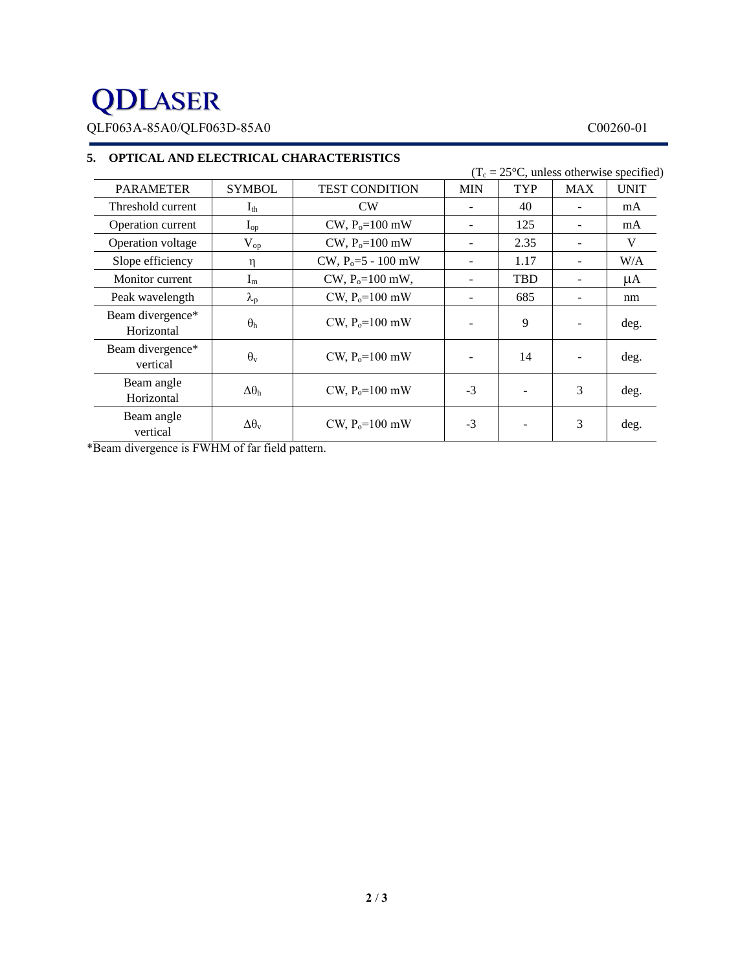## **QDLASER**

QLF063A-85A0/QLF063D-85A0 C00260-01

|                                |                        |                       | $(T_c = 25^{\circ}C$ , unless otherwise specified) |            |            |             |
|--------------------------------|------------------------|-----------------------|----------------------------------------------------|------------|------------|-------------|
| <b>PARAMETER</b>               | <b>SYMBOL</b>          | <b>TEST CONDITION</b> | <b>MIN</b>                                         | <b>TYP</b> | <b>MAX</b> | <b>UNIT</b> |
| Threshold current              | $I_{th}$               | CW                    |                                                    | 40         |            | mA          |
| Operation current              | $I_{op}$               | $CW, P_0 = 100$ mW    |                                                    | 125        |            | mA          |
| Operation voltage              | $V_{op}$               | $CW, P_0 = 100$ mW    |                                                    | 2.35       |            | V           |
| Slope efficiency               | η                      | $CW, P0=5 - 100$ mW   |                                                    | 1.17       |            | W/A         |
| Monitor current                | $I_m$                  | $CW, P_0 = 100$ mW,   |                                                    | <b>TBD</b> |            | μA          |
| Peak wavelength                | $\lambda_{\rm p}$      | CW, $P_0 = 100$ mW    |                                                    | 685        |            | nm          |
| Beam divergence*<br>Horizontal | $\theta_{h}$           | CW, $P_0 = 100$ mW    |                                                    | 9          |            | deg.        |
| Beam divergence*<br>vertical   | $\theta_{\rm v}$       | CW, $P_0 = 100$ mW    |                                                    | 14         |            | deg.        |
| Beam angle<br>Horizontal       | $\Delta\theta_h$       | CW, $P_0 = 100$ mW    | $-3$                                               |            | 3          | deg.        |
| Beam angle<br>vertical         | $\Delta\theta_{\rm v}$ | CW, $P_0 = 100$ mW    | $-3$                                               |            | 3          | deg.        |

### **5. OPTICAL AND ELECTRICAL CHARACTERISTICS**

\*Beam divergence is FWHM of far field pattern.